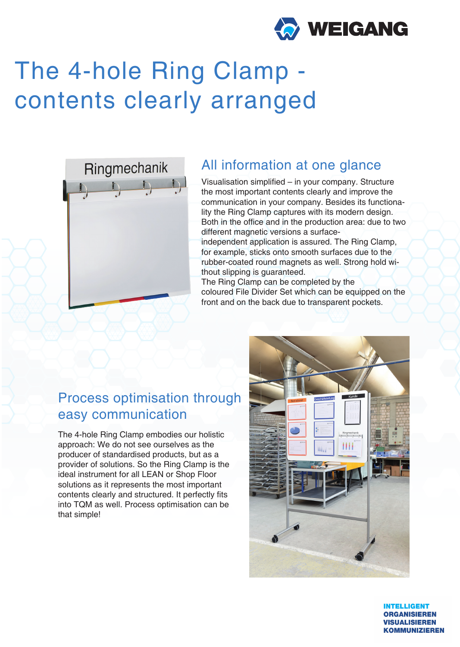

# The 4-hole Ring Clamp contents clearly arranged



#### All information at one glance

Visualisation simplified – in your company. Structure the most important contents clearly and improve the communication in your company. Besides its functionality the Ring Clamp captures with its modern design. Both in the office and in the production area: due to two different magnetic versions a surface-

independent application is assured. The Ring Clamp, for example, sticks onto smooth surfaces due to the rubber-coated round magnets as well. Strong hold without slipping is guaranteed.

The Ring Clamp can be completed by the coloured File Divider Set which can be equipped on the front and on the back due to transparent pockets.

## Process optimisation through easy communication

The 4-hole Ring Clamp embodies our holistic approach: We do not see ourselves as the producer of standardised products, but as a provider of solutions. So the Ring Clamp is the ideal instrument for all LEAN or Shop Floor solutions as it represents the most important contents clearly and structured. It perfectly fits into TQM as well. Process optimisation can be that simple!



**INTELLIGENT ORGANISIEREN VISUALISIEREN KOMMUNIZIEREN**